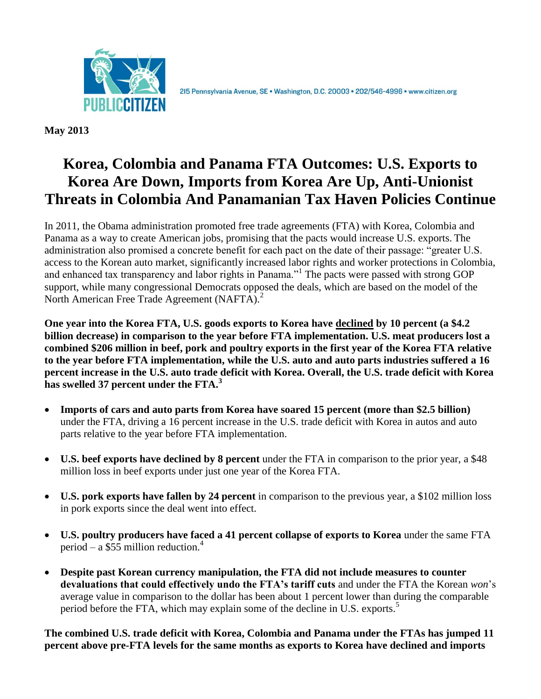

215 Pennsylvania Avenue, SE · Washington, D.C. 20003 · 202/546-4996 · www.citizen.org

**May 2013**

# **Korea, Colombia and Panama FTA Outcomes: U.S. Exports to Korea Are Down, Imports from Korea Are Up, Anti-Unionist Threats in Colombia And Panamanian Tax Haven Policies Continue**

In 2011, the Obama administration promoted free trade agreements (FTA) with Korea, Colombia and Panama as a way to create American jobs, promising that the pacts would increase U.S. exports. The administration also promised a concrete benefit for each pact on the date of their passage: "greater U.S. access to the Korean auto market, significantly increased labor rights and worker protections in Colombia, and enhanced tax transparency and labor rights in Panama."<sup>1</sup> The pacts were passed with strong GOP support, while many congressional Democrats opposed the deals, which are based on the model of the North American Free Trade Agreement (NAFTA).<sup>2</sup>

**One year into the Korea FTA, U.S. goods exports to Korea have declined by 10 percent (a \$4.2 billion decrease) in comparison to the year before FTA implementation. U.S. meat producers lost a combined \$206 million in beef, pork and poultry exports in the first year of the Korea FTA relative to the year before FTA implementation, while the U.S. auto and auto parts industries suffered a 16 percent increase in the U.S. auto trade deficit with Korea. Overall, the U.S. trade deficit with Korea has swelled 37 percent under the FTA.<sup>3</sup>**

- **Imports of cars and auto parts from Korea have soared 15 percent (more than \$2.5 billion)** under the FTA, driving a 16 percent increase in the U.S. trade deficit with Korea in autos and auto parts relative to the year before FTA implementation.
- **U.S. beef exports have declined by 8 percent** under the FTA in comparison to the prior year, a \$48 million loss in beef exports under just one year of the Korea FTA.
- **U.S. pork exports have fallen by 24 percent** in comparison to the previous year, a \$102 million loss in pork exports since the deal went into effect.
- **U.S. poultry producers have faced a 41 percent collapse of exports to Korea** under the same FTA period – a \$55 million reduction.<sup>4</sup>
- **Despite past Korean currency manipulation, the FTA did not include measures to counter devaluations that could effectively undo the FTA's tariff cuts** and under the FTA the Korean *won*'s average value in comparison to the dollar has been about 1 percent lower than during the comparable period before the FTA, which may explain some of the decline in U.S. exports.<sup>5</sup>

**The combined U.S. trade deficit with Korea, Colombia and Panama under the FTAs has jumped 11 percent above pre-FTA levels for the same months as exports to Korea have declined and imports**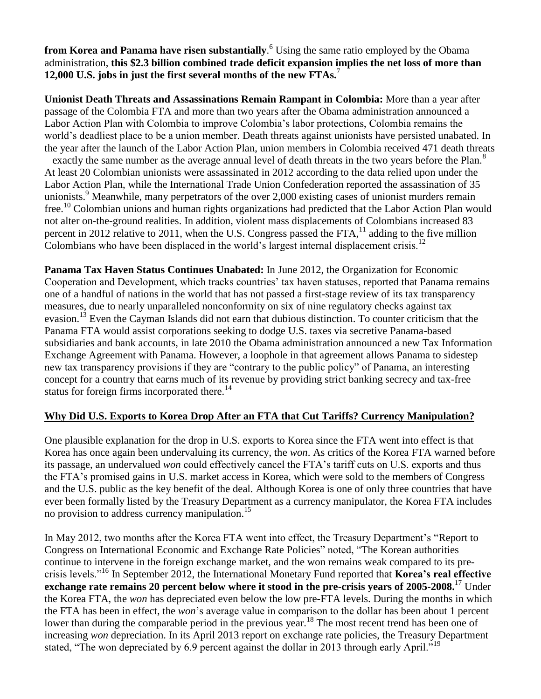**from Korea and Panama have risen substantially**. <sup>6</sup> Using the same ratio employed by the Obama administration, **this \$2.3 billion combined trade deficit expansion implies the net loss of more than 12,000 U.S. jobs in just the first several months of the new FTAs.**<sup>7</sup>

**Unionist Death Threats and Assassinations Remain Rampant in Colombia:** More than a year after passage of the Colombia FTA and more than two years after the Obama administration announced a Labor Action Plan with Colombia to improve Colombia's labor protections, Colombia remains the world's deadliest place to be a union member. Death threats against unionists have persisted unabated. In the year after the launch of the Labor Action Plan, union members in Colombia received 471 death threats  $-$  exactly the same number as the average annual level of death threats in the two years before the Plan.<sup>8</sup> At least 20 Colombian unionists were assassinated in 2012 according to the data relied upon under the Labor Action Plan, while the International Trade Union Confederation reported the assassination of 35 unionists.<sup>9</sup> Meanwhile, many perpetrators of the over 2,000 existing cases of unionist murders remain free.<sup>10</sup> Colombian unions and human rights organizations had predicted that the Labor Action Plan would not alter on-the-ground realities. In addition, violent mass displacements of Colombians increased 83 percent in 2012 relative to 2011, when the U.S. Congress passed the FTA,  $^{11}$  adding to the five million Colombians who have been displaced in the world's largest internal displacement crisis.<sup>12</sup>

**Panama Tax Haven Status Continues Unabated:** In June 2012, the Organization for Economic Cooperation and Development, which tracks countries' tax haven statuses, reported that Panama remains one of a handful of nations in the world that has not passed a first-stage review of its tax transparency measures, due to nearly unparalleled nonconformity on six of nine regulatory checks against tax evasion.<sup>13</sup> Even the Cayman Islands did not earn that dubious distinction. To counter criticism that the Panama FTA would assist corporations seeking to dodge U.S. taxes via secretive Panama-based subsidiaries and bank accounts, in late 2010 the Obama administration announced a new Tax Information Exchange Agreement with Panama. However, a loophole in that agreement allows Panama to sidestep new tax transparency provisions if they are "contrary to the public policy" of Panama, an interesting concept for a country that earns much of its revenue by providing strict banking secrecy and tax-free status for foreign firms incorporated there.<sup>14</sup>

## **Why Did U.S. Exports to Korea Drop After an FTA that Cut Tariffs? Currency Manipulation?**

One plausible explanation for the drop in U.S. exports to Korea since the FTA went into effect is that Korea has once again been undervaluing its currency, the *won*. As critics of the Korea FTA warned before its passage, an undervalued *won* could effectively cancel the FTA's tariff cuts on U.S. exports and thus the FTA's promised gains in U.S. market access in Korea, which were sold to the members of Congress and the U.S. public as the key benefit of the deal. Although Korea is one of only three countries that have ever been formally listed by the Treasury Department as a currency manipulator, the Korea FTA includes no provision to address currency manipulation.<sup>15</sup>

In May 2012, two months after the Korea FTA went into effect, the Treasury Department's "Report to Congress on International Economic and Exchange Rate Policies" noted, "The Korean authorities continue to intervene in the foreign exchange market, and the won remains weak compared to its precrisis levels."<sup>16</sup> In September 2012, the International Monetary Fund reported that **Korea's real effective exchange rate remains 20 percent below where it stood in the pre-crisis years of 2005-2008.**<sup>17</sup> Under the Korea FTA, the *won* has depreciated even below the low pre-FTA levels. During the months in which the FTA has been in effect, the *won*'s average value in comparison to the dollar has been about 1 percent lower than during the comparable period in the previous year.<sup>18</sup> The most recent trend has been one of increasing *won* depreciation. In its April 2013 report on exchange rate policies, the Treasury Department stated, "The won depreciated by 6.9 percent against the dollar in 2013 through early April."<sup>19</sup>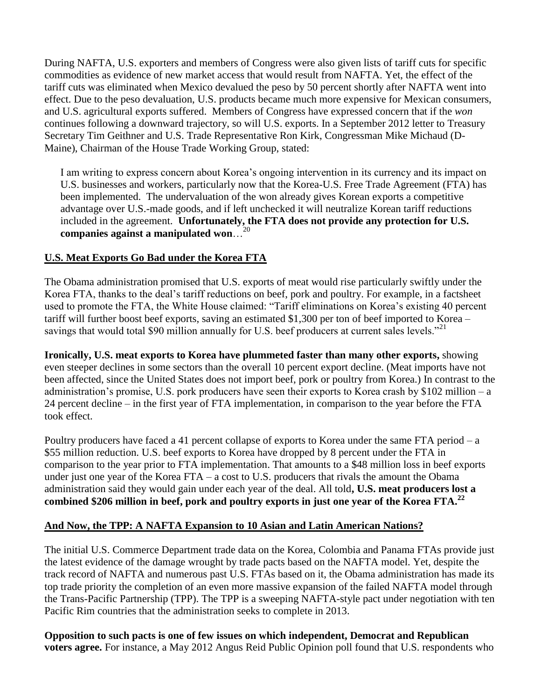During NAFTA, U.S. exporters and members of Congress were also given lists of tariff cuts for specific commodities as evidence of new market access that would result from NAFTA. Yet, the effect of the tariff cuts was eliminated when Mexico devalued the peso by 50 percent shortly after NAFTA went into effect. Due to the peso devaluation, U.S. products became much more expensive for Mexican consumers, and U.S. agricultural exports suffered. Members of Congress have expressed concern that if the *won* continues following a downward trajectory, so will U.S. exports. In a September 2012 letter to Treasury Secretary Tim Geithner and U.S. Trade Representative Ron Kirk, Congressman Mike Michaud (D-Maine), Chairman of the House Trade Working Group, stated:

I am writing to express concern about Korea's ongoing intervention in its currency and its impact on U.S. businesses and workers, particularly now that the Korea-U.S. Free Trade Agreement (FTA) has been implemented. The undervaluation of the won already gives Korean exports a competitive advantage over U.S.-made goods, and if left unchecked it will neutralize Korean tariff reductions included in the agreement. **Unfortunately, the FTA does not provide any protection for U.S. companies against a manipulated won**…<sup>20</sup>

## **U.S. Meat Exports Go Bad under the Korea FTA**

The Obama administration promised that U.S. exports of meat would rise particularly swiftly under the Korea FTA, thanks to the deal's tariff reductions on beef, pork and poultry. For example, in a factsheet used to promote the FTA, the White House claimed: "Tariff eliminations on Korea's existing 40 percent tariff will further boost beef exports, saving an estimated \$1,300 per ton of beef imported to Korea – savings that would total \$90 million annually for U.S. beef producers at current sales levels."<sup>21</sup>

**Ironically, U.S. meat exports to Korea have plummeted faster than many other exports,** showing even steeper declines in some sectors than the overall 10 percent export decline. (Meat imports have not been affected, since the United States does not import beef, pork or poultry from Korea.) In contrast to the administration's promise, U.S. pork producers have seen their exports to Korea crash by \$102 million – a 24 percent decline – in the first year of FTA implementation, in comparison to the year before the FTA took effect.

Poultry producers have faced a 41 percent collapse of exports to Korea under the same FTA period – a \$55 million reduction. U.S. beef exports to Korea have dropped by 8 percent under the FTA in comparison to the year prior to FTA implementation. That amounts to a \$48 million loss in beef exports under just one year of the Korea FTA – a cost to U.S. producers that rivals the amount the Obama administration said they would gain under each year of the deal. All told**, U.S. meat producers lost a combined \$206 million in beef, pork and poultry exports in just one year of the Korea FTA.<sup>22</sup>**

## **And Now, the TPP: A NAFTA Expansion to 10 Asian and Latin American Nations?**

The initial U.S. Commerce Department trade data on the Korea, Colombia and Panama FTAs provide just the latest evidence of the damage wrought by trade pacts based on the NAFTA model. Yet, despite the track record of NAFTA and numerous past U.S. FTAs based on it, the Obama administration has made its top trade priority the completion of an even more massive expansion of the failed NAFTA model through the Trans-Pacific Partnership (TPP). The TPP is a sweeping NAFTA-style pact under negotiation with ten Pacific Rim countries that the administration seeks to complete in 2013.

**Opposition to such pacts is one of few issues on which independent, Democrat and Republican voters agree.** For instance, a May 2012 Angus Reid Public Opinion poll found that U.S. respondents who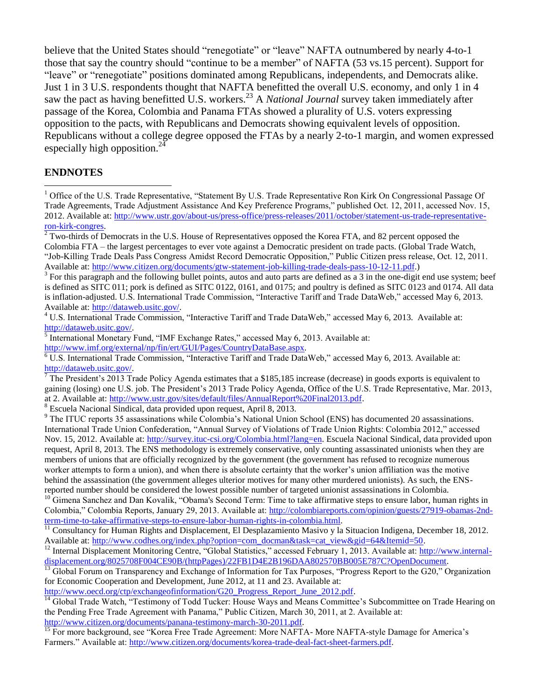believe that the United States should "renegotiate" or "leave" NAFTA outnumbered by nearly 4-to-1 those that say the country should "continue to be a member" of NAFTA (53 vs.15 percent). Support for "leave" or "renegotiate" positions dominated among Republicans, independents, and Democrats alike. Just 1 in 3 U.S. respondents thought that NAFTA benefitted the overall U.S. economy, and only 1 in 4 saw the pact as having benefitted U.S. workers.<sup>23</sup> A *National Journal* survey taken immediately after passage of the Korea, Colombia and Panama FTAs showed a plurality of U.S. voters expressing opposition to the pacts, with Republicans and Democrats showing equivalent levels of opposition. Republicans without a college degree opposed the FTAs by a nearly 2-to-1 margin, and women expressed especially high opposition.<sup>24</sup>

#### **ENDNOTES**

 $\overline{a}$ 

<sup>8</sup> Escuela Nacional Sindical, data provided upon request, April 8, 2013.

<sup>9</sup> The ITUC reports 35 assassinations while Colombia's National Union School (ENS) has documented 20 assassinations. International Trade Union Confederation, "Annual Survey of Violations of Trade Union Rights: Colombia 2012," accessed Nov. 15, 2012. Available at: [http://survey.ituc-csi.org/Colombia.html?lang=en.](http://survey.ituc-csi.org/Colombia.html?lang=en) Escuela Nacional Sindical, data provided upon request, April 8, 2013. The ENS methodology is extremely conservative, only counting assassinated unionists when they are members of unions that are officially recognized by the government (the government has refused to recognize numerous worker attempts to form a union), and when there is absolute certainty that the worker's union affiliation was the motive behind the assassination (the government alleges ulterior motives for many other murdered unionists). As such, the ENSreported number should be considered the lowest possible number of targeted unionist assassinations in Colombia.

<sup>10</sup> Gimena Sanchez and Dan Kovalik, "Obama's Second Term: Time to take affirmative steps to ensure labor, human rights in Colombia," Colombia Reports, January 29, 2013. Available at: [http://colombiareports.com/opinion/guests/27919-obamas-2nd](http://colombiareports.com/opinion/guests/27919-obamas-2nd-term-time-to-take-affirmative-steps-to-ensure-labor-human-rights-in-colombia.html)[term-time-to-take-affirmative-steps-to-ensure-labor-human-rights-in-colombia.html.](http://colombiareports.com/opinion/guests/27919-obamas-2nd-term-time-to-take-affirmative-steps-to-ensure-labor-human-rights-in-colombia.html)

<sup>11</sup> Consultancy for Human Rights and Displacement, El Desplazamiento Masivo y la Situacion Indigena, December 18, 2012. Available at: http://www.codhes.org/index.php?option=com\_docman&task=cat\_view&gid=64&Itemid=50.

 $^{13}$  Global Forum on Transparency and Exchange of Information for Tax Purposes, "Progress Report to the G20," Organization for Economic Cooperation and Development, June 2012, at 11 and 23. Available at:

[http://www.oecd.org/ctp/exchangeofinformation/G20\\_Progress\\_Report\\_June\\_2012.pdf.](http://www.oecd.org/ctp/exchangeofinformation/G20_Progress_Report_June_2012.pdf)

<sup>14</sup> Global Trade Watch, "Testimony of Todd Tucker: House Ways and Means Committee's Subcommittee on Trade Hearing on the Pending Free Trade Agreement with Panama," Public Citizen, March 30, 2011, at 2. Available at: [http://www.citizen.org/documents/panana-testimony-march-30-2011.pdf.](http://www.citizen.org/documents/panana-testimony-march-30-2011.pdf)

<sup>15</sup> For more background, see "Korea Free Trade Agreement: More NAFTA- More NAFTA-style Damage for America's Farmers." Available at: [http://www.citizen.org/documents/korea-trade-deal-fact-sheet-farmers.pdf.](http://www.citizen.org/documents/korea-trade-deal-fact-sheet-farmers.pdf) 

 $<sup>1</sup>$  Office of the U.S. Trade Representative, "Statement By U.S. Trade Representative Ron Kirk On Congressional Passage Of</sup> Trade Agreements, Trade Adjustment Assistance And Key Preference Programs," published Oct. 12, 2011, accessed Nov. 15, 2012. Available at: [http://www.ustr.gov/about-us/press-office/press-releases/2011/october/statement-us-trade-representative](http://www.ustr.gov/about-us/press-office/press-releases/2011/october/statement-us-trade-representative-ron-kirk-congres)[ron-kirk-congres.](http://www.ustr.gov/about-us/press-office/press-releases/2011/october/statement-us-trade-representative-ron-kirk-congres)

 $2^2$  Two-thirds of Democrats in the U.S. House of Representatives opposed the Korea FTA, and 82 percent opposed the Colombia FTA – the largest percentages to ever vote against a Democratic president on trade pacts. (Global Trade Watch, "Job-Killing Trade Deals Pass Congress Amidst Record Democratic Opposition," Public Citizen press release, Oct. 12, 2011. Available at: [http://www.citizen.org/documents/gtw-statement-job-killing-trade-deals-pass-10-12-11.pdf.](http://www.citizen.org/documents/gtw-statement-job-killing-trade-deals-pass-10-12-11.pdf))

 $3$  For this paragraph and the following bullet points, autos and auto parts are defined as a 3 in the one-digit end use system; beef is defined as SITC 011; pork is defined as SITC 0122, 0161, and 0175; and poultry is defined as SITC 0123 and 0174. All data is inflation-adjusted. U.S. International Trade Commission, "Interactive Tariff and Trade DataWeb," accessed May 6, 2013. Available at: [http://dataweb.usitc.gov/.](http://dataweb.usitc.gov/)

<sup>4</sup> U.S. International Trade Commission, "Interactive Tariff and Trade DataWeb," accessed May 6, 2013. Available at: [http://dataweb.usitc.gov/.](http://dataweb.usitc.gov/)

<sup>&</sup>lt;sup>5</sup> International Monetary Fund, "IMF Exchange Rates," accessed May 6, 2013. Available at:

[http://www.imf.org/external/np/fin/ert/GUI/Pages/CountryDataBase.aspx.](http://www.imf.org/external/np/fin/ert/GUI/Pages/CountryDataBase.aspx)

<sup>6</sup> U.S. International Trade Commission, "Interactive Tariff and Trade DataWeb," accessed May 6, 2013. Available at: http://dataweb.usitc.gov/.

<sup>7</sup> The President's 2013 Trade Policy Agenda estimates that a \$185,185 increase (decrease) in goods exports is equivalent to gaining (losing) one U.S. job. The President's 2013 Trade Policy Agenda, Office of the U.S. Trade Representative, Mar. 2013, at 2. Available at: [http://www.ustr.gov/sites/default/files/AnnualReport%20Final2013.pdf.](http://www.ustr.gov/sites/default/files/AnnualReport%20Final2013.pdf)

<sup>&</sup>lt;sup>12</sup> Internal Displacement Monitoring Centre, "Global Statistics," accessed February 1, 2013. Available at: [http://www.internal](http://www.internal-displacement.org/8025708F004CE90B/(httpPages)/22FB1D4E2B196DAA802570BB005E787C?OpenDocument)[displacement.org/8025708F004CE90B/\(httpPages\)/22FB1D4E2B196DAA802570BB005E787C?OpenDocument.](http://www.internal-displacement.org/8025708F004CE90B/(httpPages)/22FB1D4E2B196DAA802570BB005E787C?OpenDocument)